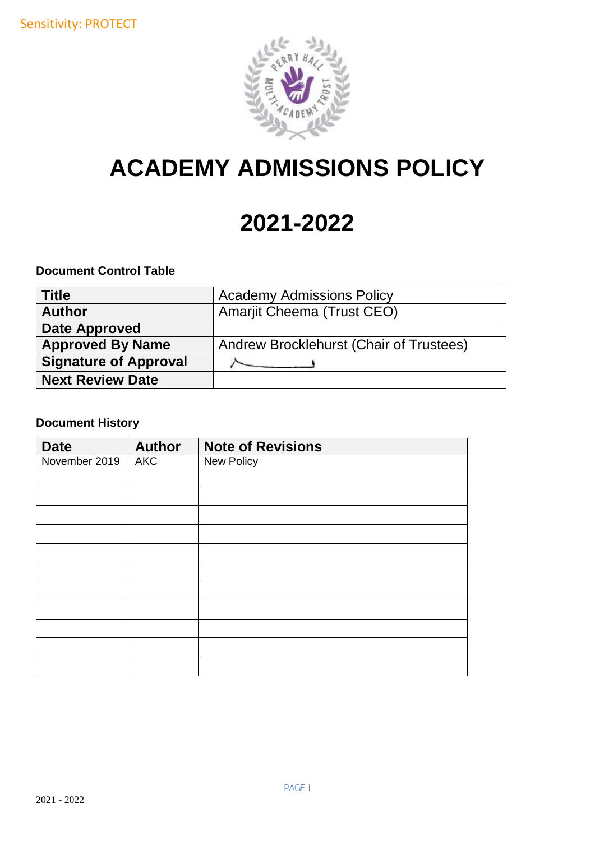

# **ACADEMY ADMISSIONS POLICY**

# **2021-2022**

## **Document Control Table**

| <b>Title</b>                 | <b>Academy Admissions Policy</b>        |
|------------------------------|-----------------------------------------|
| <b>Author</b>                | <b>Amarjit Cheema (Trust CEO)</b>       |
| <b>Date Approved</b>         |                                         |
| <b>Approved By Name</b>      | Andrew Brocklehurst (Chair of Trustees) |
| <b>Signature of Approval</b> |                                         |
| <b>Next Review Date</b>      |                                         |

# **Document History**

| <b>Date</b>   | <b>Author</b> | <b>Note of Revisions</b> |
|---------------|---------------|--------------------------|
| November 2019 | <b>AKC</b>    | New Policy               |
|               |               |                          |
|               |               |                          |
|               |               |                          |
|               |               |                          |
|               |               |                          |
|               |               |                          |
|               |               |                          |
|               |               |                          |
|               |               |                          |
|               |               |                          |
|               |               |                          |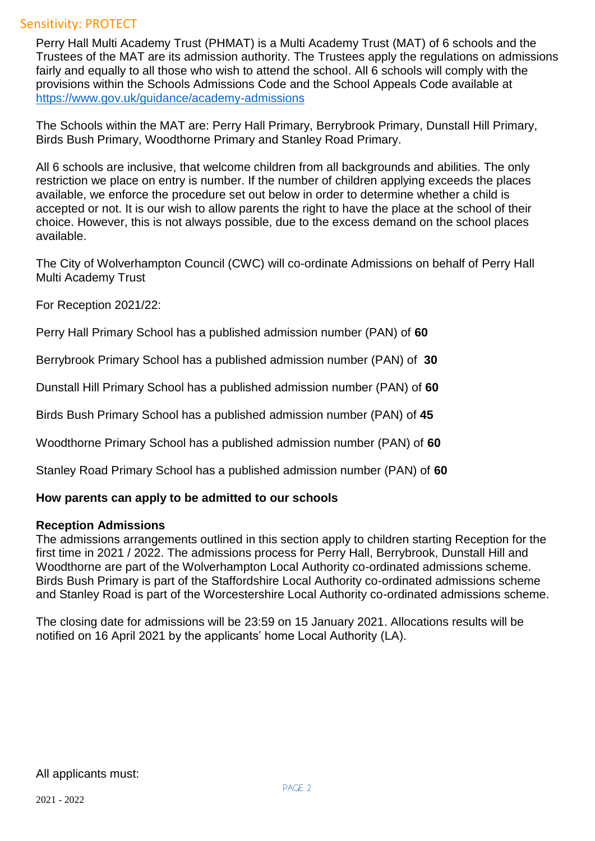Perry Hall Multi Academy Trust (PHMAT) is a Multi Academy Trust (MAT) of 6 schools and the Trustees of the MAT are its admission authority. The Trustees apply the regulations on admissions fairly and equally to all those who wish to attend the school. All 6 schools will comply with the provisions within the Schools Admissions Code and the School Appeals Code available at <https://www.gov.uk/guidance/academy-admissions>

The Schools within the MAT are: Perry Hall Primary, Berrybrook Primary, Dunstall Hill Primary, Birds Bush Primary, Woodthorne Primary and Stanley Road Primary.

All 6 schools are inclusive, that welcome children from all backgrounds and abilities. The only restriction we place on entry is number. If the number of children applying exceeds the places available, we enforce the procedure set out below in order to determine whether a child is accepted or not. It is our wish to allow parents the right to have the place at the school of their choice. However, this is not always possible, due to the excess demand on the school places available.

The City of Wolverhampton Council (CWC) will co-ordinate Admissions on behalf of Perry Hall Multi Academy Trust

For Reception 2021/22:

Perry Hall Primary School has a published admission number (PAN) of **60**

Berrybrook Primary School has a published admission number (PAN) of **30**

Dunstall Hill Primary School has a published admission number (PAN) of **60**

Birds Bush Primary School has a published admission number (PAN) of **45**

Woodthorne Primary School has a published admission number (PAN) of **60**

Stanley Road Primary School has a published admission number (PAN) of **60**

#### **How parents can apply to be admitted to our schools**

#### **Reception Admissions**

The admissions arrangements outlined in this section apply to children starting Reception for the first time in 2021 / 2022. The admissions process for Perry Hall, Berrybrook, Dunstall Hill and Woodthorne are part of the Wolverhampton Local Authority co-ordinated admissions scheme. Birds Bush Primary is part of the Staffordshire Local Authority co-ordinated admissions scheme and Stanley Road is part of the Worcestershire Local Authority co-ordinated admissions scheme.

The closing date for admissions will be 23:59 on 15 January 2021. Allocations results will be notified on 16 April 2021 by the applicants' home Local Authority (LA).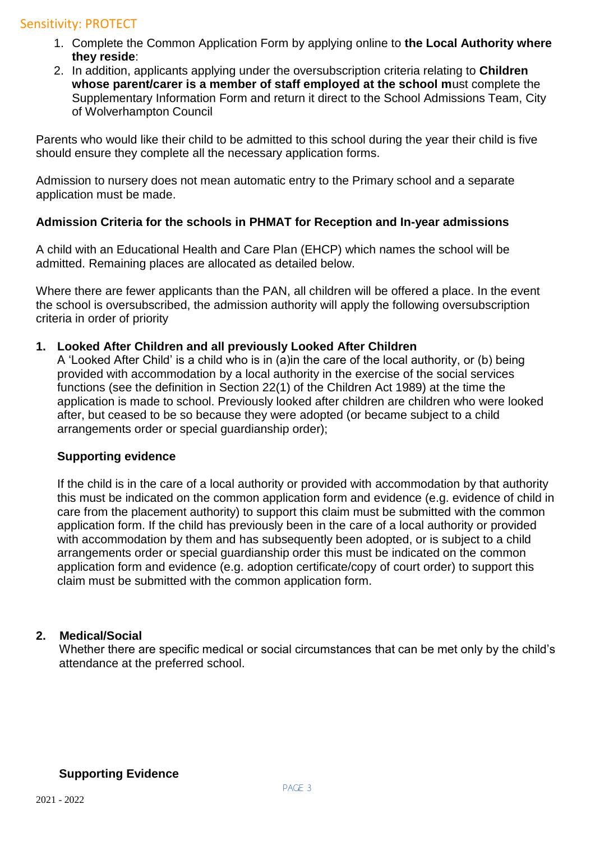- 1. Complete the Common Application Form by applying online to **the Local Authority where they reside**:
- 2. In addition, applicants applying under the oversubscription criteria relating to **Children whose parent/carer is a member of staff employed at the school m**ust complete the Supplementary Information Form and return it direct to the School Admissions Team, City of Wolverhampton Council

Parents who would like their child to be admitted to this school during the year their child is five should ensure they complete all the necessary application forms.

Admission to nursery does not mean automatic entry to the Primary school and a separate application must be made.

## **Admission Criteria for the schools in PHMAT for Reception and In-year admissions**

A child with an Educational Health and Care Plan (EHCP) which names the school will be admitted. Remaining places are allocated as detailed below.

Where there are fewer applicants than the PAN, all children will be offered a place. In the event the school is oversubscribed, the admission authority will apply the following oversubscription criteria in order of priority

#### **1. Looked After Children and all previously Looked After Children**

A 'Looked After Child' is a child who is in (a)in the care of the local authority, or (b) being provided with accommodation by a local authority in the exercise of the social services functions (see the definition in Section 22(1) of the Children Act 1989) at the time the application is made to school. Previously looked after children are children who were looked after, but ceased to be so because they were adopted (or became subject to a child arrangements order or special guardianship order);

#### **Supporting evidence**

If the child is in the care of a local authority or provided with accommodation by that authority this must be indicated on the common application form and evidence (e.g. evidence of child in care from the placement authority) to support this claim must be submitted with the common application form. If the child has previously been in the care of a local authority or provided with accommodation by them and has subsequently been adopted, or is subject to a child arrangements order or special guardianship order this must be indicated on the common application form and evidence (e.g. adoption certificate/copy of court order) to support this claim must be submitted with the common application form.

#### **2. Medical/Social**

Whether there are specific medical or social circumstances that can be met only by the child's attendance at the preferred school.

#### **Supporting Evidence**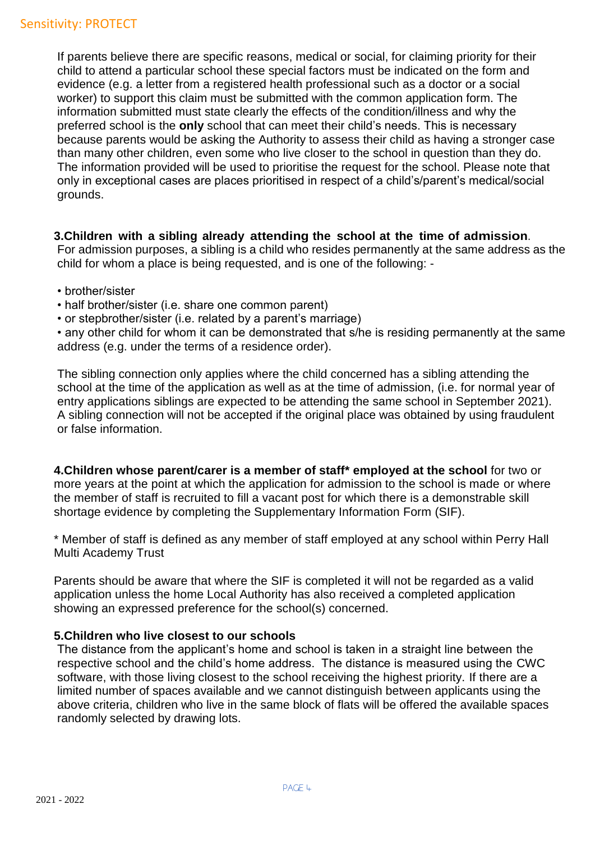If parents believe there are specific reasons, medical or social, for claiming priority for their child to attend a particular school these special factors must be indicated on the form and evidence (e.g. a letter from a registered health professional such as a doctor or a social worker) to support this claim must be submitted with the common application form. The information submitted must state clearly the effects of the condition/illness and why the preferred school is the **only** school that can meet their child's needs. This is necessary because parents would be asking the Authority to assess their child as having a stronger case than many other children, even some who live closer to the school in question than they do. The information provided will be used to prioritise the request for the school. Please note that only in exceptional cases are places prioritised in respect of a child's/parent's medical/social grounds.

#### **3.Children with a sibling already attending the school at the time of admission**.

For admission purposes, a sibling is a child who resides permanently at the same address as the child for whom a place is being requested, and is one of the following: -

- brother/sister
- half brother/sister (i.e. share one common parent)
- or stepbrother/sister (i.e. related by a parent's marriage)

• any other child for whom it can be demonstrated that s/he is residing permanently at the same address (e.g. under the terms of a residence order).

The sibling connection only applies where the child concerned has a sibling attending the school at the time of the application as well as at the time of admission, (i.e. for normal year of entry applications siblings are expected to be attending the same school in September 2021). A sibling connection will not be accepted if the original place was obtained by using fraudulent or false information.

**4.Children whose parent/carer is a member of staff\* employed at the school** for two or more years at the point at which the application for admission to the school is made or where the member of staff is recruited to fill a vacant post for which there is a demonstrable skill shortage evidence by completing the Supplementary Information Form (SIF).

\* Member of staff is defined as any member of staff employed at any school within Perry Hall Multi Academy Trust

Parents should be aware that where the SIF is completed it will not be regarded as a valid application unless the home Local Authority has also received a completed application showing an expressed preference for the school(s) concerned.

#### **5.Children who live closest to our schools**

The distance from the applicant's home and school is taken in a straight line between the respective school and the child's home address. The distance is measured using the CWC software, with those living closest to the school receiving the highest priority. If there are a limited number of spaces available and we cannot distinguish between applicants using the above criteria, children who live in the same block of flats will be offered the available spaces randomly selected by drawing lots.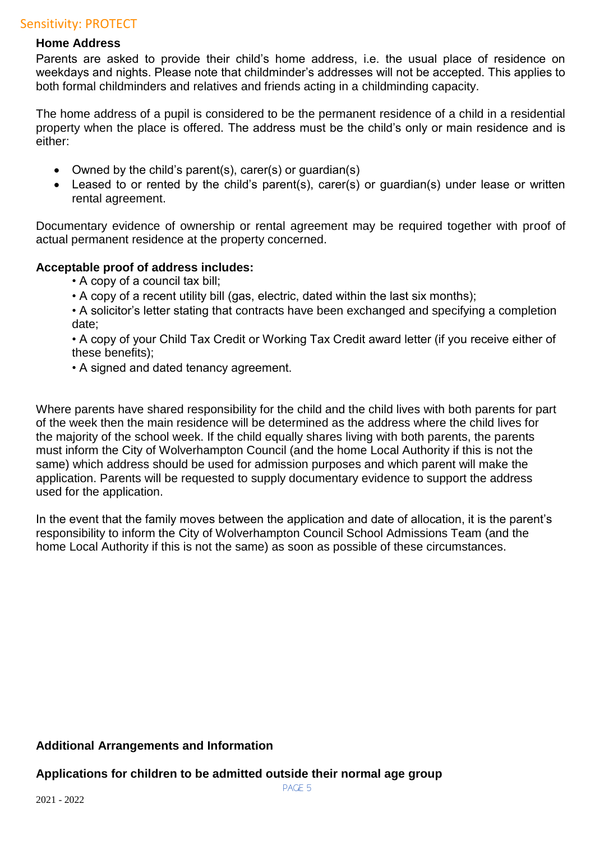#### **Home Address**

Parents are asked to provide their child's home address, i.e. the usual place of residence on weekdays and nights. Please note that childminder's addresses will not be accepted. This applies to both formal childminders and relatives and friends acting in a childminding capacity.

The home address of a pupil is considered to be the permanent residence of a child in a residential property when the place is offered. The address must be the child's only or main residence and is either:

- Owned by the child's parent(s), carer(s) or guardian(s)
- Leased to or rented by the child's parent(s), carer(s) or guardian(s) under lease or written rental agreement.

Documentary evidence of ownership or rental agreement may be required together with proof of actual permanent residence at the property concerned.

#### **Acceptable proof of address includes:**

- A copy of a council tax bill;
- A copy of a recent utility bill (gas, electric, dated within the last six months);
- A solicitor's letter stating that contracts have been exchanged and specifying a completion date;

• A copy of your Child Tax Credit or Working Tax Credit award letter (if you receive either of these benefits);

• A signed and dated tenancy agreement.

Where parents have shared responsibility for the child and the child lives with both parents for part of the week then the main residence will be determined as the address where the child lives for the majority of the school week. If the child equally shares living with both parents, the parents must inform the City of Wolverhampton Council (and the home Local Authority if this is not the same) which address should be used for admission purposes and which parent will make the application. Parents will be requested to supply documentary evidence to support the address used for the application.

In the event that the family moves between the application and date of allocation, it is the parent's responsibility to inform the City of Wolverhampton Council School Admissions Team (and the home Local Authority if this is not the same) as soon as possible of these circumstances.

#### **Additional Arrangements and Information**

#### **Applications for children to be admitted outside their normal age group**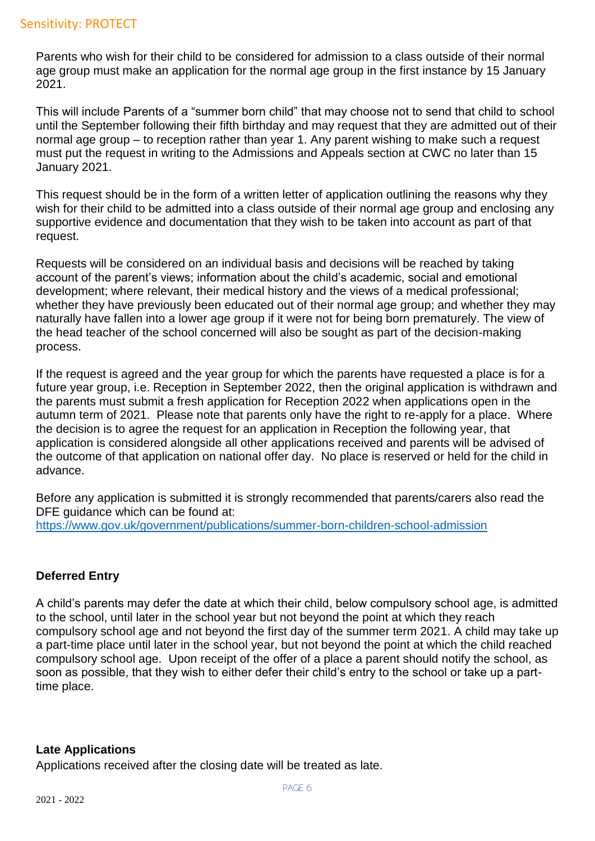Parents who wish for their child to be considered for admission to a class outside of their normal age group must make an application for the normal age group in the first instance by 15 January 2021.

This will include Parents of a "summer born child" that may choose not to send that child to school until the September following their fifth birthday and may request that they are admitted out of their normal age group – to reception rather than year 1. Any parent wishing to make such a request must put the request in writing to the Admissions and Appeals section at CWC no later than 15 January 2021.

This request should be in the form of a written letter of application outlining the reasons why they wish for their child to be admitted into a class outside of their normal age group and enclosing any supportive evidence and documentation that they wish to be taken into account as part of that request.

Requests will be considered on an individual basis and decisions will be reached by taking account of the parent's views; information about the child's academic, social and emotional development; where relevant, their medical history and the views of a medical professional; whether they have previously been educated out of their normal age group; and whether they may naturally have fallen into a lower age group if it were not for being born prematurely. The view of the head teacher of the school concerned will also be sought as part of the decision-making process.

If the request is agreed and the year group for which the parents have requested a place is for a future year group, i.e. Reception in September 2022, then the original application is withdrawn and the parents must submit a fresh application for Reception 2022 when applications open in the autumn term of 2021. Please note that parents only have the right to re-apply for a place. Where the decision is to agree the request for an application in Reception the following year, that application is considered alongside all other applications received and parents will be advised of the outcome of that application on national offer day. No place is reserved or held for the child in advance.

Before any application is submitted it is strongly recommended that parents/carers also read the DFE guidance which can be found at: <https://www.gov.uk/government/publications/summer-born-children-school-admission>

# **Deferred Entry**

A child's parents may defer the date at which their child, below compulsory school age, is admitted to the school, until later in the school year but not beyond the point at which they reach compulsory school age and not beyond the first day of the summer term 2021. A child may take up a part-time place until later in the school year, but not beyond the point at which the child reached compulsory school age. Upon receipt of the offer of a place a parent should notify the school, as soon as possible, that they wish to either defer their child's entry to the school or take up a parttime place.

#### **Late Applications**

Applications received after the closing date will be treated as late.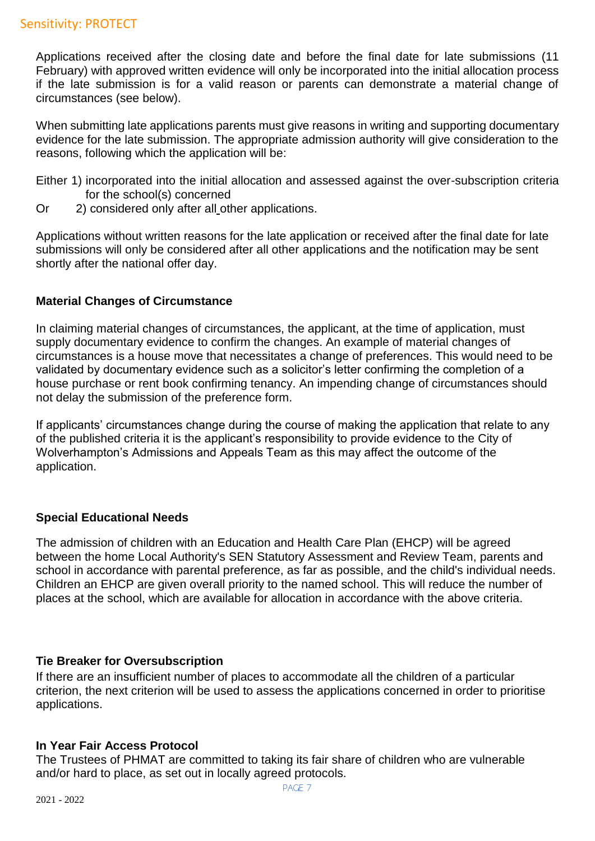Applications received after the closing date and before the final date for late submissions (11 February) with approved written evidence will only be incorporated into the initial allocation process if the late submission is for a valid reason or parents can demonstrate a material change of circumstances (see below).

When submitting late applications parents must give reasons in writing and supporting documentary evidence for the late submission. The appropriate admission authority will give consideration to the reasons, following which the application will be:

- Either 1) incorporated into the initial allocation and assessed against the over-subscription criteria for the school(s) concerned
- Or 2) considered only after all other applications.

Applications without written reasons for the late application or received after the final date for late submissions will only be considered after all other applications and the notification may be sent shortly after the national offer day.

## **Material Changes of Circumstance**

In claiming material changes of circumstances, the applicant, at the time of application, must supply documentary evidence to confirm the changes. An example of material changes of circumstances is a house move that necessitates a change of preferences. This would need to be validated by documentary evidence such as a solicitor's letter confirming the completion of a house purchase or rent book confirming tenancy. An impending change of circumstances should not delay the submission of the preference form.

If applicants' circumstances change during the course of making the application that relate to any of the published criteria it is the applicant's responsibility to provide evidence to the City of Wolverhampton's Admissions and Appeals Team as this may affect the outcome of the application.

# **Special Educational Needs**

The admission of children with an Education and Health Care Plan (EHCP) will be agreed between the home Local Authority's SEN Statutory Assessment and Review Team, parents and school in accordance with parental preference, as far as possible, and the child's individual needs. Children an EHCP are given overall priority to the named school. This will reduce the number of places at the school, which are available for allocation in accordance with the above criteria.

# **Tie Breaker for Oversubscription**

If there are an insufficient number of places to accommodate all the children of a particular criterion, the next criterion will be used to assess the applications concerned in order to prioritise applications.

#### **In Year Fair Access Protocol**

The Trustees of PHMAT are committed to taking its fair share of children who are vulnerable and/or hard to place, as set out in locally agreed protocols.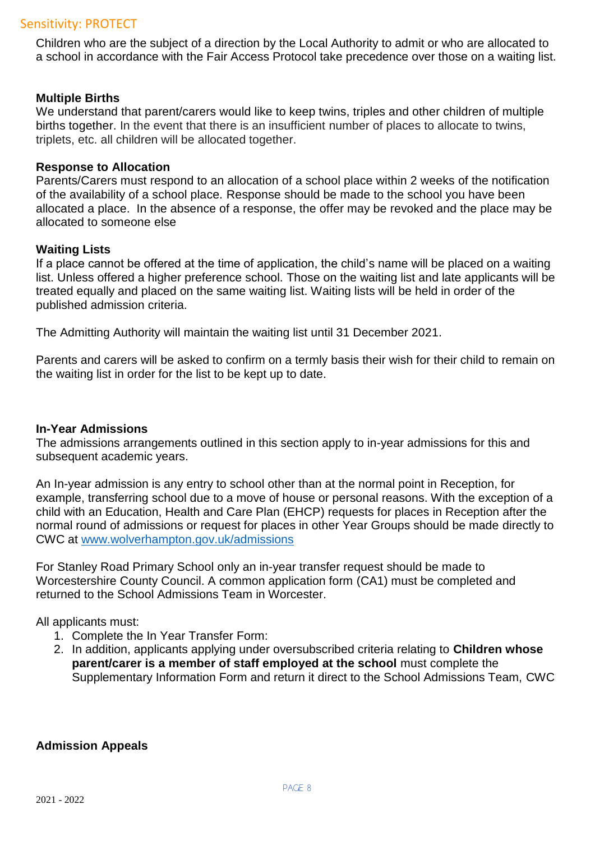Children who are the subject of a direction by the Local Authority to admit or who are allocated to a school in accordance with the Fair Access Protocol take precedence over those on a waiting list.

#### **Multiple Births**

We understand that parent/carers would like to keep twins, triples and other children of multiple births together. In the event that there is an insufficient number of places to allocate to twins, triplets, etc. all children will be allocated together.

#### **Response to Allocation**

Parents/Carers must respond to an allocation of a school place within 2 weeks of the notification of the availability of a school place. Response should be made to the school you have been allocated a place. In the absence of a response, the offer may be revoked and the place may be allocated to someone else

#### **Waiting Lists**

If a place cannot be offered at the time of application, the child's name will be placed on a waiting list. Unless offered a higher preference school. Those on the waiting list and late applicants will be treated equally and placed on the same waiting list. Waiting lists will be held in order of the published admission criteria.

The Admitting Authority will maintain the waiting list until 31 December 2021.

Parents and carers will be asked to confirm on a termly basis their wish for their child to remain on the waiting list in order for the list to be kept up to date.

#### **In-Year Admissions**

The admissions arrangements outlined in this section apply to in-year admissions for this and subsequent academic years.

An In-year admission is any entry to school other than at the normal point in Reception, for example, transferring school due to a move of house or personal reasons. With the exception of a child with an Education, Health and Care Plan (EHCP) requests for places in Reception after the normal round of admissions or request for places in other Year Groups should be made directly to CWC at [www.wolverhampton.gov.uk/admissions](http://www.wolverhampton.gov.uk/admissions)

For Stanley Road Primary School only an in-year transfer request should be made to Worcestershire County Council. A common application form (CA1) must be completed and returned to the School Admissions Team in Worcester.

All applicants must:

- 1. Complete the In Year Transfer Form:
- 2. In addition, applicants applying under oversubscribed criteria relating to **Children whose parent/carer is a member of staff employed at the school** must complete the Supplementary Information Form and return it direct to the School Admissions Team, CWC

#### **Admission Appeals**